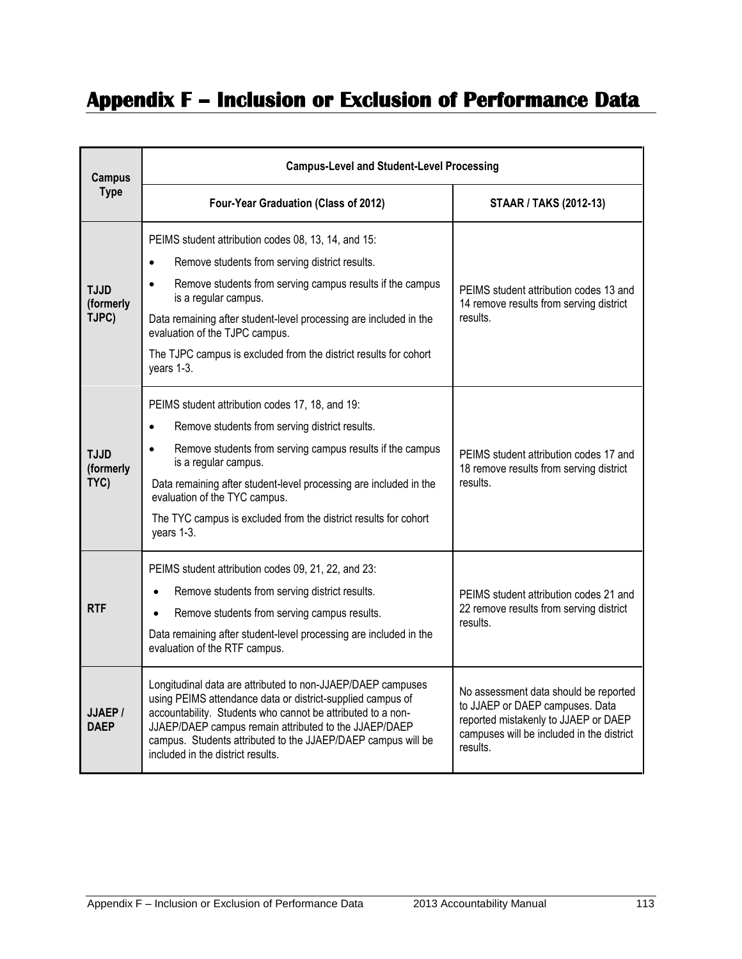## **Appendix F – Inclusion or Exclusion of Performance Data**

| <b>Campus</b><br><b>Type</b>      | <b>Campus-Level and Student-Level Processing</b>                                                                                                                                                                                                                                                                                                                                                              |                                                                                                                                                                           |
|-----------------------------------|---------------------------------------------------------------------------------------------------------------------------------------------------------------------------------------------------------------------------------------------------------------------------------------------------------------------------------------------------------------------------------------------------------------|---------------------------------------------------------------------------------------------------------------------------------------------------------------------------|
|                                   | Four-Year Graduation (Class of 2012)                                                                                                                                                                                                                                                                                                                                                                          | <b>STAAR / TAKS (2012-13)</b>                                                                                                                                             |
| <b>TJJD</b><br>(formerly<br>TJPC) | PEIMS student attribution codes 08, 13, 14, and 15:<br>Remove students from serving district results.<br>$\bullet$<br>Remove students from serving campus results if the campus<br>$\bullet$<br>is a regular campus.<br>Data remaining after student-level processing are included in the<br>evaluation of the TJPC campus.<br>The TJPC campus is excluded from the district results for cohort<br>years 1-3. | PEIMS student attribution codes 13 and<br>14 remove results from serving district<br>results.                                                                             |
| <b>TJJD</b><br>(formerly<br>TYC)  | PEIMS student attribution codes 17, 18, and 19:<br>Remove students from serving district results.<br>$\bullet$<br>Remove students from serving campus results if the campus<br>$\bullet$<br>is a regular campus.<br>Data remaining after student-level processing are included in the<br>evaluation of the TYC campus.<br>The TYC campus is excluded from the district results for cohort<br>years 1-3.       | PEIMS student attribution codes 17 and<br>18 remove results from serving district<br>results.                                                                             |
| <b>RTF</b>                        | PEIMS student attribution codes 09, 21, 22, and 23:<br>Remove students from serving district results.<br>Remove students from serving campus results.<br>Data remaining after student-level processing are included in the<br>evaluation of the RTF campus.                                                                                                                                                   | PEIMS student attribution codes 21 and<br>22 remove results from serving district<br>results.                                                                             |
| JJAEP/<br><b>DAEP</b>             | Longitudinal data are attributed to non-JJAEP/DAEP campuses<br>using PEIMS attendance data or district-supplied campus of<br>accountability. Students who cannot be attributed to a non-<br>JJAEP/DAEP campus remain attributed to the JJAEP/DAEP<br>campus. Students attributed to the JJAEP/DAEP campus will be<br>included in the district results.                                                        | No assessment data should be reported<br>to JJAEP or DAEP campuses. Data<br>reported mistakenly to JJAEP or DAEP<br>campuses will be included in the district<br>results. |